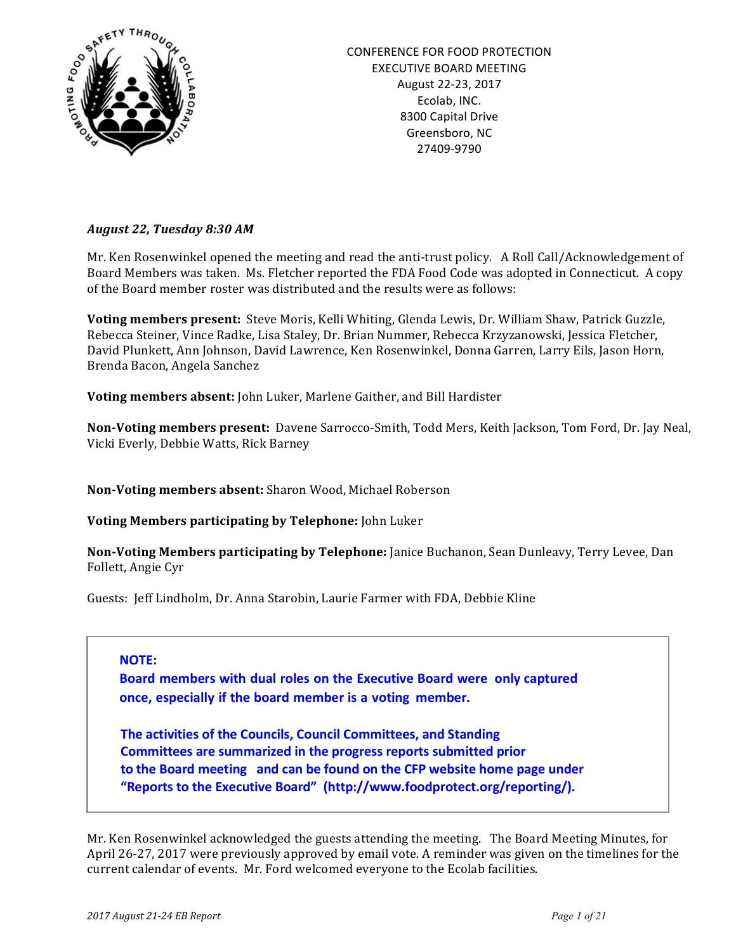

## *August 22, Tuesday 8:30 AM*

Mr. Ken Rosenwinkel opened the meeting and read the anti-trust policy. A Roll Call/Acknowledgement of Board Members was taken. Ms. Fletcher reported the FDA Food Code was adopted in Connecticut. A copy of the Board member roster was distributed and the results were as follows:

**Voting members present:** Steve Moris, Kelli Whiting, Glenda Lewis, Dr. William Shaw, Patrick Guzzle, Rebecca Steiner, Vince Radke, Lisa Staley, Dr. Brian Nummer, Rebecca Krzyzanowski, Jessica Fletcher, David Plunkett, Ann Johnson, David Lawrence, Ken Rosenwinkel, Donna Garren, Larry Eils, Jason Horn, Brenda Bacon, Angela Sanchez

**Voting members absent:** John Luker, Marlene Gaither, and Bill Hardister

**Non-Voting members present:** Davene Sarrocco-Smith, Todd Mers, Keith Jackson, Tom Ford, Dr. Jay Neal, Vicki Everly, Debbie Watts, Rick Barney

**Non-Voting members absent:** Sharon Wood, Michael Roberson

**Voting Members participating by Telephone:** John Luker

**Non-Voting Members participating by Telephone:** Janice Buchanon, Sean Dunleavy, Terry Levee, Dan Follett, Angie Cyr

Guests: Jeff Lindholm, Dr. Anna Starobin, Laurie Farmer with FDA, Debbie Kline

#### **NOTE:**

**Board members with dual roles on the Executive Board were only captured once, especially if the board member is a voting member.**

**The activities of the Councils, Council Committees, and Standing Committees are summarized in the progress reports submitted prior to** the Board meeting and can be found on the CFP website home page under "Reports to the Executive Board" (http://www.foodprotect.org/reporting/).

Mr. Ken Rosenwinkel acknowledged the guests attending the meeting. The Board Meeting Minutes, for April 26-27, 2017 were previously approved by email vote. A reminder was given on the timelines for the current calendar of events. Mr. Ford welcomed everyone to the Ecolab facilities.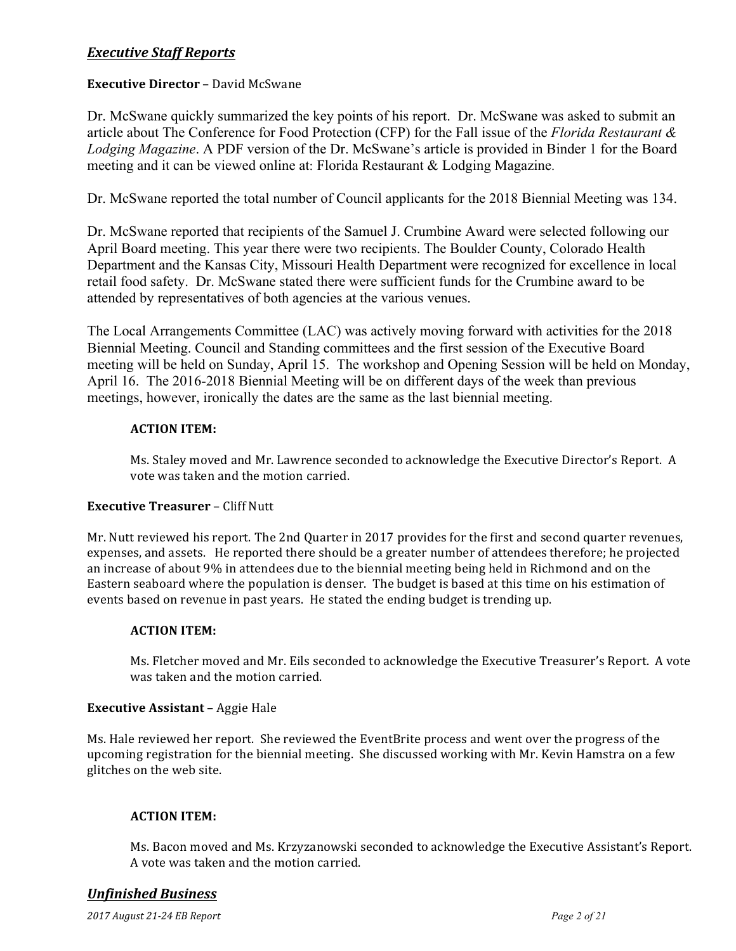# *Executive Staff Reports*

## **Executive Director** – David McSwane

Dr. McSwane quickly summarized the key points of his report. Dr. McSwane was asked to submit an article about The Conference for Food Protection (CFP) for the Fall issue of the *Florida Restaurant & Lodging Magazine*. A PDF version of the Dr. McSwane's article is provided in Binder 1 for the Board meeting and it can be viewed online at: Florida Restaurant & Lodging Magazine.

Dr. McSwane reported the total number of Council applicants for the 2018 Biennial Meeting was 134.

Dr. McSwane reported that recipients of the Samuel J. Crumbine Award were selected following our April Board meeting. This year there were two recipients. The Boulder County, Colorado Health Department and the Kansas City, Missouri Health Department were recognized for excellence in local retail food safety. Dr. McSwane stated there were sufficient funds for the Crumbine award to be attended by representatives of both agencies at the various venues.

The Local Arrangements Committee (LAC) was actively moving forward with activities for the 2018 Biennial Meeting. Council and Standing committees and the first session of the Executive Board meeting will be held on Sunday, April 15. The workshop and Opening Session will be held on Monday, April 16. The 2016-2018 Biennial Meeting will be on different days of the week than previous meetings, however, ironically the dates are the same as the last biennial meeting.

## **ACTION ITEM:**

Ms. Staley moved and Mr. Lawrence seconded to acknowledge the Executive Director's Report. A vote was taken and the motion carried.

## **Executive Treasurer - Cliff Nutt**

Mr. Nutt reviewed his report. The 2nd Quarter in 2017 provides for the first and second quarter revenues, expenses, and assets. He reported there should be a greater number of attendees therefore; he projected an increase of about 9% in attendees due to the biennial meeting being held in Richmond and on the Eastern seaboard where the population is denser. The budget is based at this time on his estimation of events based on revenue in past years. He stated the ending budget is trending up.

#### **ACTION ITEM:**

Ms. Fletcher moved and Mr. Eils seconded to acknowledge the Executive Treasurer's Report. A vote was taken and the motion carried.

## **Executive Assistant** - Aggie Hale

Ms. Hale reviewed her report. She reviewed the EventBrite process and went over the progress of the upcoming registration for the biennial meeting. She discussed working with Mr. Kevin Hamstra on a few glitches on the web site.

## **ACTION ITEM:**

Ms. Bacon moved and Ms. Krzyzanowski seconded to acknowledge the Executive Assistant's Report. A vote was taken and the motion carried.

## *Unfinished Business*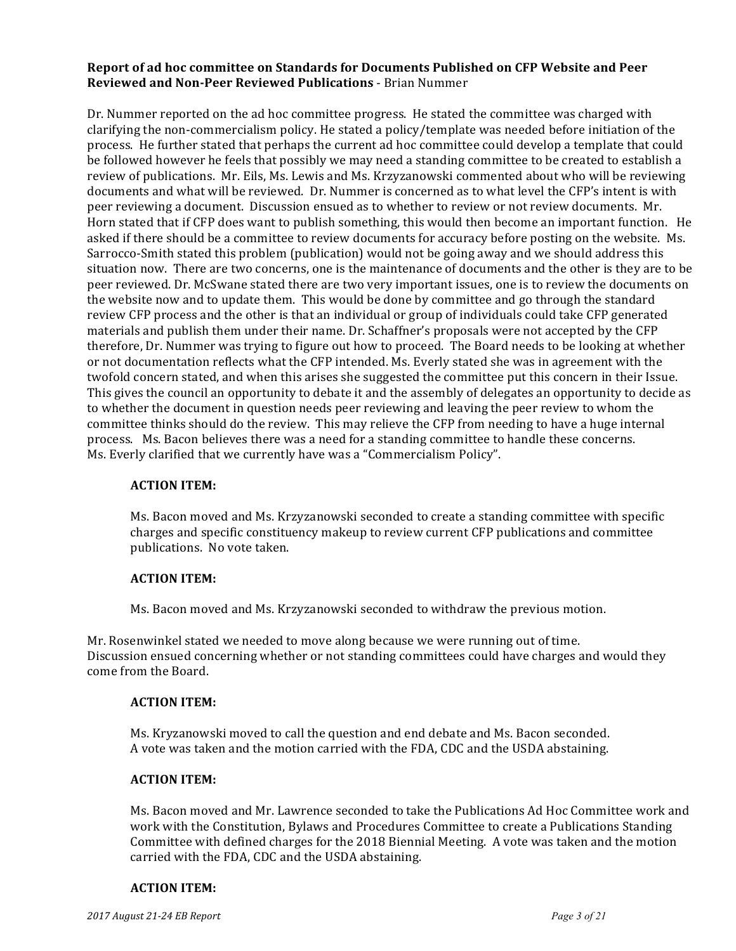### Report of ad hoc committee on Standards for Documents Published on CFP Website and Peer **Reviewed and Non-Peer Reviewed Publications** - Brian Nummer

Dr. Nummer reported on the ad hoc committee progress. He stated the committee was charged with clarifying the non-commercialism policy. He stated a policy/template was needed before initiation of the process. He further stated that perhaps the current ad hoc committee could develop a template that could be followed however he feels that possibly we may need a standing committee to be created to establish a review of publications. Mr. Eils, Ms. Lewis and Ms. Krzyzanowski commented about who will be reviewing documents and what will be reviewed. Dr. Nummer is concerned as to what level the CFP's intent is with peer reviewing a document. Discussion ensued as to whether to review or not review documents. Mr. Horn stated that if CFP does want to publish something, this would then become an important function. He asked if there should be a committee to review documents for accuracy before posting on the website. Ms. Sarrocco-Smith stated this problem (publication) would not be going away and we should address this situation now. There are two concerns, one is the maintenance of documents and the other is they are to be peer reviewed. Dr. McSwane stated there are two very important issues, one is to review the documents on the website now and to update them. This would be done by committee and go through the standard review CFP process and the other is that an individual or group of individuals could take CFP generated materials and publish them under their name. Dr. Schaffner's proposals were not accepted by the CFP therefore, Dr. Nummer was trying to figure out how to proceed. The Board needs to be looking at whether or not documentation reflects what the CFP intended. Ms. Everly stated she was in agreement with the twofold concern stated, and when this arises she suggested the committee put this concern in their Issue. This gives the council an opportunity to debate it and the assembly of delegates an opportunity to decide as to whether the document in question needs peer reviewing and leaving the peer review to whom the committee thinks should do the review. This may relieve the CFP from needing to have a huge internal process. Ms. Bacon believes there was a need for a standing committee to handle these concerns. Ms. Everly clarified that we currently have was a "Commercialism Policy".

#### **ACTION ITEM:**

Ms. Bacon moved and Ms. Krzyzanowski seconded to create a standing committee with specific charges and specific constituency makeup to review current CFP publications and committee publications. No vote taken.

### **ACTION ITEM:**

Ms. Bacon moved and Ms. Krzyzanowski seconded to withdraw the previous motion.

Mr. Rosenwinkel stated we needed to move along because we were running out of time. Discussion ensued concerning whether or not standing committees could have charges and would they come from the Board.

## **ACTION ITEM:**

Ms. Kryzanowski moved to call the question and end debate and Ms. Bacon seconded. A vote was taken and the motion carried with the FDA, CDC and the USDA abstaining.

## **ACTION ITEM:**

Ms. Bacon moved and Mr. Lawrence seconded to take the Publications Ad Hoc Committee work and work with the Constitution, Bylaws and Procedures Committee to create a Publications Standing Committee with defined charges for the 2018 Biennial Meeting. A vote was taken and the motion carried with the FDA, CDC and the USDA abstaining.

#### **ACTION ITEM:**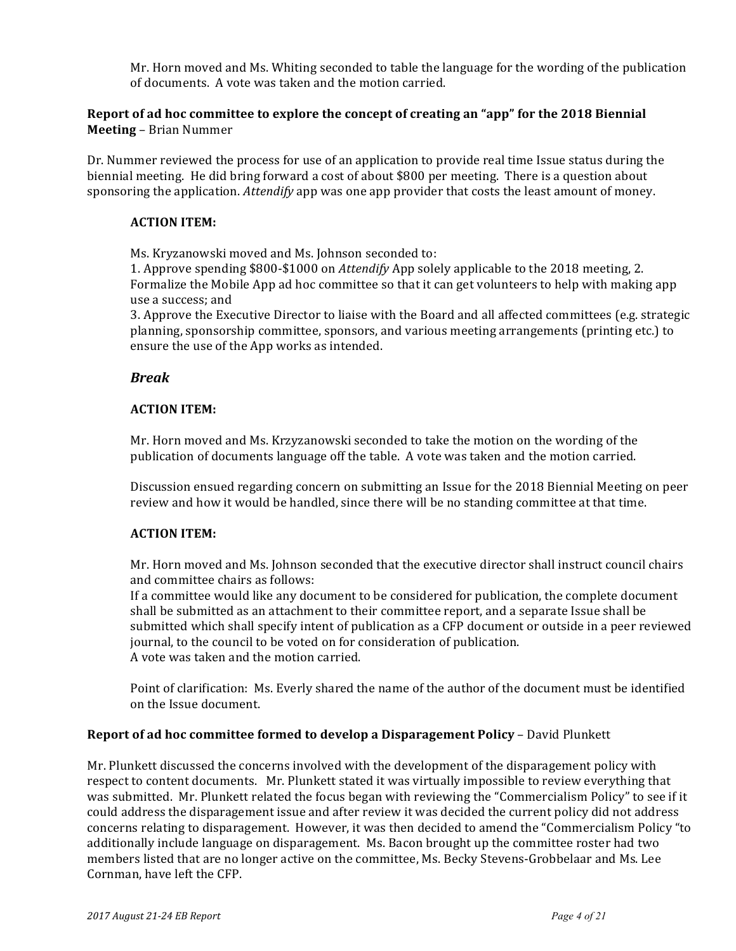Mr. Horn moved and Ms. Whiting seconded to table the language for the wording of the publication of documents. A vote was taken and the motion carried.

## **Report of ad hoc committee to explore the concept of creating an "app" for the 2018 Biennial Meeting** – Brian Nummer

Dr. Nummer reviewed the process for use of an application to provide real time Issue status during the biennial meeting. He did bring forward a cost of about \$800 per meeting. There is a question about sponsoring the application. *Attendify* app was one app provider that costs the least amount of money.

## **ACTION ITEM:**

Ms. Kryzanowski moved and Ms. Johnson seconded to:

1. Approve spending \$800-\$1000 on *Attendify* App solely applicable to the 2018 meeting, 2. Formalize the Mobile App ad hoc committee so that it can get volunteers to help with making app use a success; and

3. Approve the Executive Director to liaise with the Board and all affected committees (e.g. strategic planning, sponsorship committee, sponsors, and various meeting arrangements (printing etc.) to ensure the use of the App works as intended.

## *Break*

## **ACTION ITEM:**

Mr. Horn moved and Ms. Krzyzanowski seconded to take the motion on the wording of the publication of documents language off the table. A vote was taken and the motion carried.

Discussion ensued regarding concern on submitting an Issue for the 2018 Biennial Meeting on peer review and how it would be handled, since there will be no standing committee at that time.

## **ACTION ITEM:**

Mr. Horn moved and Ms. Johnson seconded that the executive director shall instruct council chairs and committee chairs as follows:

If a committee would like any document to be considered for publication, the complete document shall be submitted as an attachment to their committee report, and a separate Issue shall be submitted which shall specify intent of publication as a CFP document or outside in a peer reviewed journal, to the council to be voted on for consideration of publication. A vote was taken and the motion carried.

Point of clarification: Ms. Everly shared the name of the author of the document must be identified on the Issue document. 

#### **Report of ad hoc committee formed to develop a Disparagement Policy – David Plunkett**

Mr. Plunkett discussed the concerns involved with the development of the disparagement policy with respect to content documents. Mr. Plunkett stated it was virtually impossible to review everything that was submitted. Mr. Plunkett related the focus began with reviewing the "Commercialism Policy" to see if it could address the disparagement issue and after review it was decided the current policy did not address concerns relating to disparagement. However, it was then decided to amend the "Commercialism Policy "to additionally include language on disparagement. Ms. Bacon brought up the committee roster had two members listed that are no longer active on the committee, Ms. Becky Stevens-Grobbelaar and Ms. Lee Cornman, have left the CFP.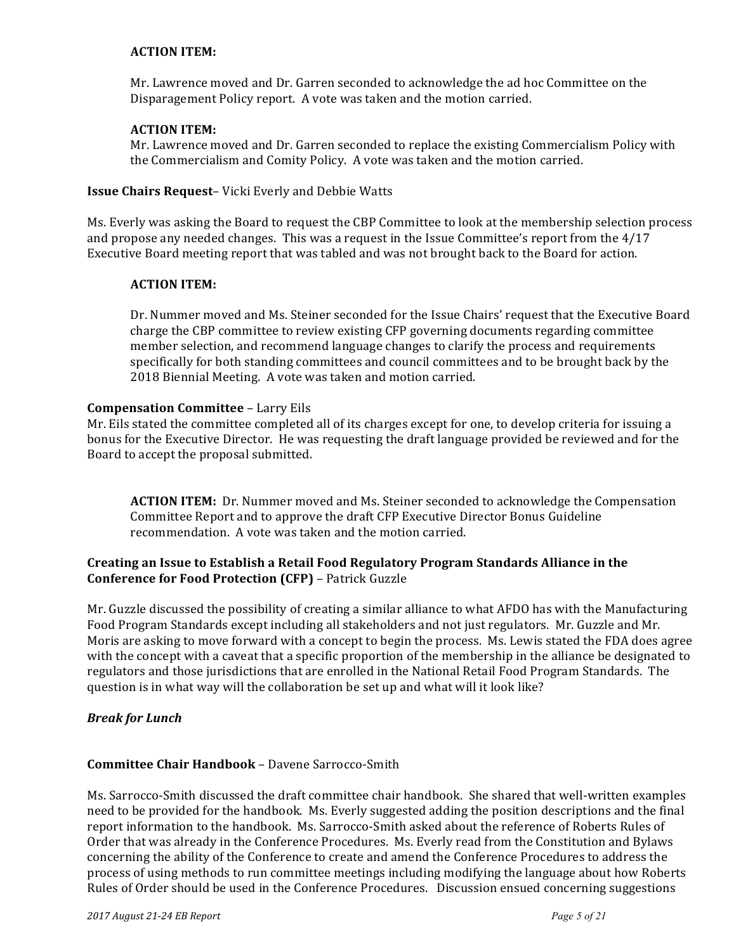## **ACTION ITEM:**

Mr. Lawrence moved and Dr. Garren seconded to acknowledge the ad hoc Committee on the Disparagement Policy report. A vote was taken and the motion carried.

#### **ACTION ITEM:**

Mr. Lawrence moved and Dr. Garren seconded to replace the existing Commercialism Policy with the Commercialism and Comity Policy. A vote was taken and the motion carried.

### **Issue Chairs Request-** Vicki Everly and Debbie Watts

Ms. Everly was asking the Board to request the CBP Committee to look at the membership selection process and propose any needed changes. This was a request in the Issue Committee's report from the  $4/17$ Executive Board meeting report that was tabled and was not brought back to the Board for action.

### **ACTION ITEM:**

Dr. Nummer moved and Ms. Steiner seconded for the Issue Chairs' request that the Executive Board charge the CBP committee to review existing CFP governing documents regarding committee member selection, and recommend language changes to clarify the process and requirements specifically for both standing committees and council committees and to be brought back by the 2018 Biennial Meeting. A vote was taken and motion carried.

#### **Compensation Committee - Larry Eils**

Mr. Eils stated the committee completed all of its charges except for one, to develop criteria for issuing a bonus for the Executive Director. He was requesting the draft language provided be reviewed and for the Board to accept the proposal submitted.

**ACTION ITEM:** Dr. Nummer moved and Ms. Steiner seconded to acknowledge the Compensation Committee Report and to approve the draft CFP Executive Director Bonus Guideline recommendation. A vote was taken and the motion carried.

## Creating an Issue to Establish a Retail Food Regulatory Program Standards Alliance in the **Conference for Food Protection (CFP)** - Patrick Guzzle

Mr. Guzzle discussed the possibility of creating a similar alliance to what AFDO has with the Manufacturing Food Program Standards except including all stakeholders and not just regulators. Mr. Guzzle and Mr. Moris are asking to move forward with a concept to begin the process. Ms. Lewis stated the FDA does agree with the concept with a caveat that a specific proportion of the membership in the alliance be designated to regulators and those jurisdictions that are enrolled in the National Retail Food Program Standards. The question is in what way will the collaboration be set up and what will it look like?

#### *Break for Lunch*

#### **Committee Chair Handbook** – Davene Sarrocco-Smith

Ms. Sarrocco-Smith discussed the draft committee chair handbook. She shared that well-written examples need to be provided for the handbook. Ms. Everly suggested adding the position descriptions and the final report information to the handbook. Ms. Sarrocco-Smith asked about the reference of Roberts Rules of Order that was already in the Conference Procedures. Ms. Everly read from the Constitution and Bylaws concerning the ability of the Conference to create and amend the Conference Procedures to address the process of using methods to run committee meetings including modifying the language about how Roberts Rules of Order should be used in the Conference Procedures. Discussion ensued concerning suggestions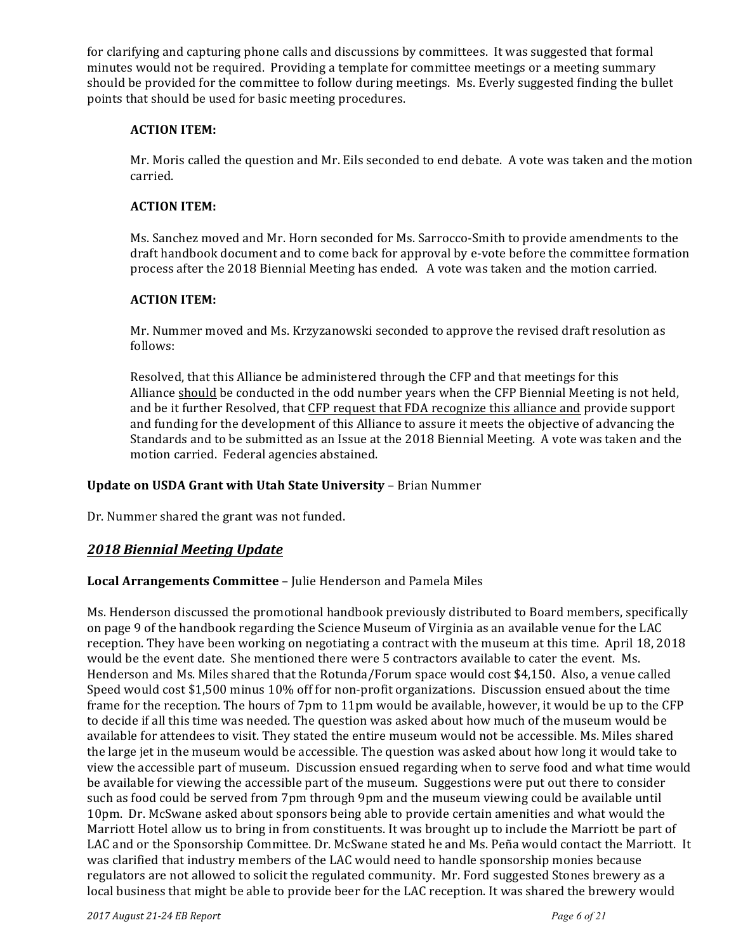for clarifying and capturing phone calls and discussions by committees. It was suggested that formal minutes would not be required. Providing a template for committee meetings or a meeting summary should be provided for the committee to follow during meetings. Ms. Everly suggested finding the bullet points that should be used for basic meeting procedures.

## **ACTION ITEM:**

Mr. Moris called the question and Mr. Eils seconded to end debate. A vote was taken and the motion carried.

## **ACTION ITEM:**

Ms. Sanchez moved and Mr. Horn seconded for Ms. Sarrocco-Smith to provide amendments to the draft handbook document and to come back for approval by e-vote before the committee formation process after the 2018 Biennial Meeting has ended. A vote was taken and the motion carried.

## **ACTION ITEM:**

Mr. Nummer moved and Ms. Krzyzanowski seconded to approve the revised draft resolution as follows:

Resolved, that this Alliance be administered through the CFP and that meetings for this Alliance should be conducted in the odd number years when the CFP Biennial Meeting is not held, and be it further Resolved, that CFP request that FDA recognize this alliance and provide support and funding for the development of this Alliance to assure it meets the objective of advancing the Standards and to be submitted as an Issue at the 2018 Biennial Meeting. A vote was taken and the motion carried. Federal agencies abstained.

## **Update on USDA Grant with Utah State University - Brian Nummer**

Dr. Nummer shared the grant was not funded.

# *2018 Biennial Meeting Update*

## Local Arrangements Committee - Julie Henderson and Pamela Miles

Ms. Henderson discussed the promotional handbook previously distributed to Board members, specifically on page 9 of the handbook regarding the Science Museum of Virginia as an available venue for the LAC reception. They have been working on negotiating a contract with the museum at this time. April 18, 2018 would be the event date. She mentioned there were 5 contractors available to cater the event. Ms. Henderson and Ms. Miles shared that the Rotunda/Forum space would cost \$4,150. Also, a venue called Speed would cost \$1,500 minus 10% off for non-profit organizations. Discussion ensued about the time frame for the reception. The hours of 7pm to 11pm would be available, however, it would be up to the CFP to decide if all this time was needed. The question was asked about how much of the museum would be available for attendees to visit. They stated the entire museum would not be accessible. Ms. Miles shared the large jet in the museum would be accessible. The question was asked about how long it would take to view the accessible part of museum. Discussion ensued regarding when to serve food and what time would be available for viewing the accessible part of the museum. Suggestions were put out there to consider such as food could be served from 7pm through 9pm and the museum viewing could be available until 10pm. Dr. McSwane asked about sponsors being able to provide certain amenities and what would the Marriott Hotel allow us to bring in from constituents. It was brought up to include the Marriott be part of LAC and or the Sponsorship Committee. Dr. McSwane stated he and Ms. Peña would contact the Marriott. It was clarified that industry members of the LAC would need to handle sponsorship monies because regulators are not allowed to solicit the regulated community. Mr. Ford suggested Stones brewery as a local business that might be able to provide beer for the LAC reception. It was shared the brewery would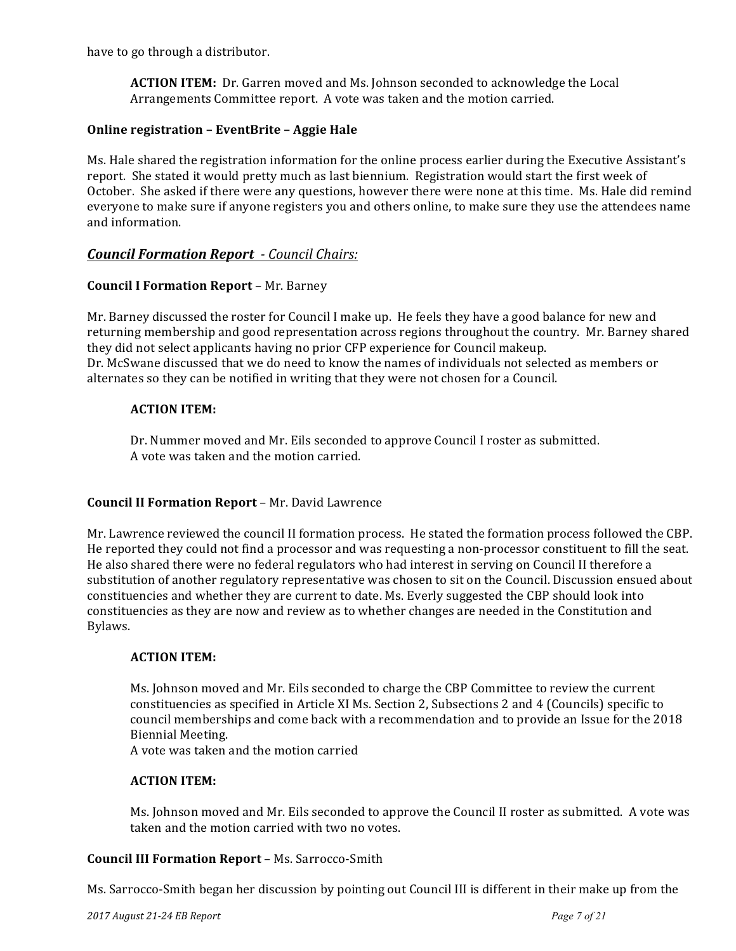have to go through a distributor.

**ACTION ITEM:** Dr. Garren moved and Ms. Johnson seconded to acknowledge the Local Arrangements Committee report. A vote was taken and the motion carried.

## **Online registration – EventBrite – Aggie Hale**

Ms. Hale shared the registration information for the online process earlier during the Executive Assistant's report. She stated it would pretty much as last biennium. Registration would start the first week of October. She asked if there were any questions, however there were none at this time. Ms. Hale did remind everyone to make sure if anyone registers you and others online, to make sure they use the attendees name and information.

## *Council Formation Report - Council Chairs:*

## **Council I Formation Report** – Mr. Barney

Mr. Barney discussed the roster for Council I make up. He feels they have a good balance for new and returning membership and good representation across regions throughout the country. Mr. Barney shared they did not select applicants having no prior CFP experience for Council makeup. Dr. McSwane discussed that we do need to know the names of individuals not selected as members or alternates so they can be notified in writing that they were not chosen for a Council.

## **ACTION ITEM:**

Dr. Nummer moved and Mr. Eils seconded to approve Council I roster as submitted. A vote was taken and the motion carried.

#### **Council II Formation Report** - Mr. David Lawrence

Mr. Lawrence reviewed the council II formation process. He stated the formation process followed the CBP. He reported they could not find a processor and was requesting a non-processor constituent to fill the seat. He also shared there were no federal regulators who had interest in serving on Council II therefore a substitution of another regulatory representative was chosen to sit on the Council. Discussion ensued about constituencies and whether they are current to date. Ms. Everly suggested the CBP should look into constituencies as they are now and review as to whether changes are needed in the Constitution and Bylaws.

### **ACTION ITEM:**

Ms. Johnson moved and Mr. Eils seconded to charge the CBP Committee to review the current constituencies as specified in Article XI Ms. Section 2, Subsections 2 and 4 (Councils) specific to council memberships and come back with a recommendation and to provide an Issue for the 2018 Biennial Meeting.

A vote was taken and the motion carried

## **ACTION ITEM:**

Ms. Johnson moved and Mr. Eils seconded to approve the Council II roster as submitted. A vote was taken and the motion carried with two no votes.

#### **Council III Formation Report** – Ms. Sarrocco-Smith

Ms. Sarrocco-Smith began her discussion by pointing out Council III is different in their make up from the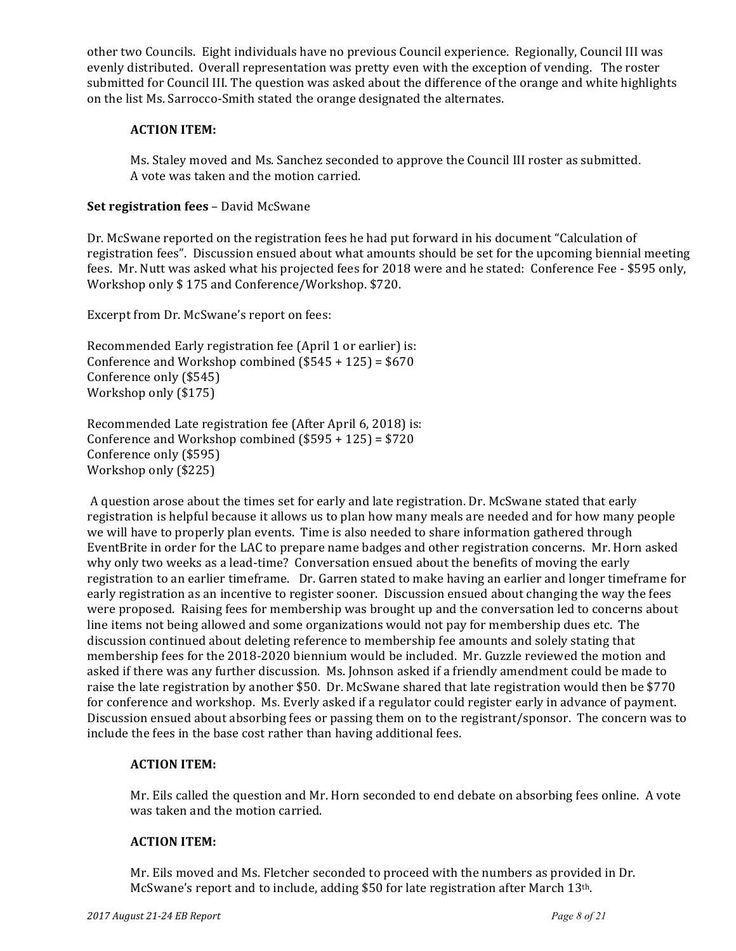other two Councils. Eight individuals have no previous Council experience. Regionally, Council III was evenly distributed. Overall representation was pretty even with the exception of vending. The roster submitted for Council III. The question was asked about the difference of the orange and white highlights on the list Ms. Sarrocco-Smith stated the orange designated the alternates.

## **ACTION ITEM:**

Ms. Staley moved and Ms. Sanchez seconded to approve the Council III roster as submitted. A vote was taken and the motion carried.

## **Set registration fees** – David McSwane

Dr. McSwane reported on the registration fees he had put forward in his document "Calculation of registration fees". Discussion ensued about what amounts should be set for the upcoming biennial meeting fees. Mr. Nutt was asked what his projected fees for 2018 were and he stated: Conference Fee - \$595 only, Workshop only \$175 and Conference/Workshop. \$720.

Excerpt from Dr. McSwane's report on fees:

Recommended Early registration fee (April 1 or earlier) is: Conference and Workshop combined  $(\$545 + 125) = \$670$ Conference only (\$545) Workshop only (\$175)

Recommended Late registration fee (After April 6, 2018) is: Conference and Workshop combined  $(\$595 + 125) = \$720$ Conference only (\$595) Workshop only (\$225)

A question arose about the times set for early and late registration. Dr. McSwane stated that early registration is helpful because it allows us to plan how many meals are needed and for how many people we will have to properly plan events. Time is also needed to share information gathered through EventBrite in order for the LAC to prepare name badges and other registration concerns. Mr. Horn asked why only two weeks as a lead-time? Conversation ensued about the benefits of moving the early registration to an earlier timeframe. Dr. Garren stated to make having an earlier and longer timeframe for early registration as an incentive to register sooner. Discussion ensued about changing the way the fees were proposed. Raising fees for membership was brought up and the conversation led to concerns about line items not being allowed and some organizations would not pay for membership dues etc. The discussion continued about deleting reference to membership fee amounts and solely stating that membership fees for the 2018-2020 biennium would be included. Mr. Guzzle reviewed the motion and asked if there was any further discussion. Ms. Johnson asked if a friendly amendment could be made to raise the late registration by another \$50. Dr. McSwane shared that late registration would then be \$770 for conference and workshop. Ms. Everly asked if a regulator could register early in advance of payment. Discussion ensued about absorbing fees or passing them on to the registrant/sponsor. The concern was to include the fees in the base cost rather than having additional fees.

## **ACTION ITEM:**

Mr. Eils called the question and Mr. Horn seconded to end debate on absorbing fees online. A vote was taken and the motion carried.

## **ACTION ITEM:**

Mr. Eils moved and Ms. Fletcher seconded to proceed with the numbers as provided in Dr. McSwane's report and to include, adding \$50 for late registration after March 13th.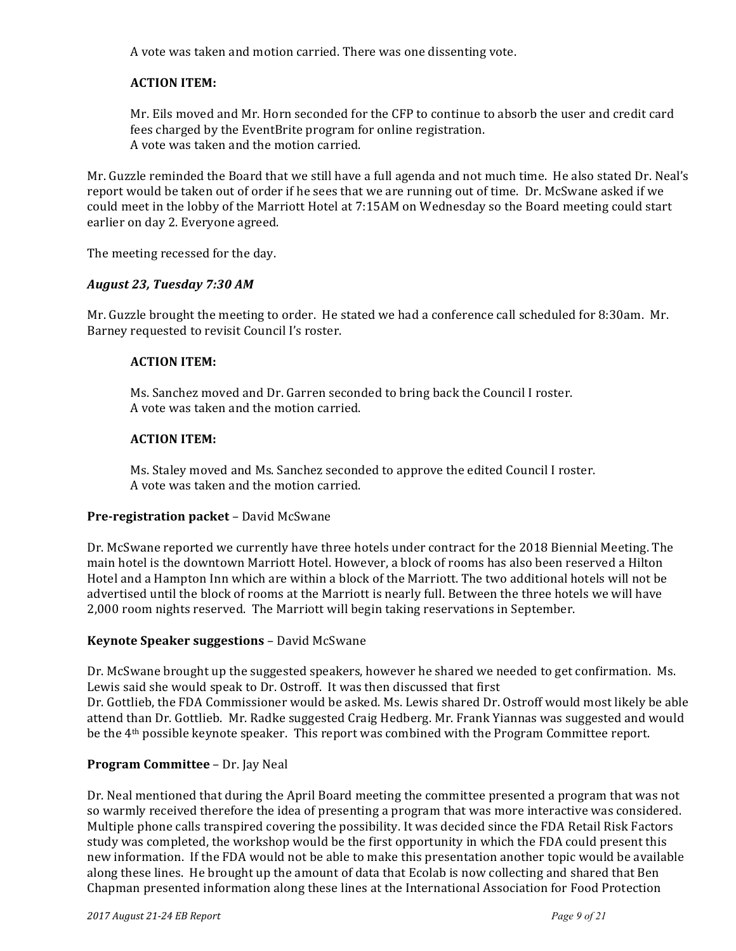A vote was taken and motion carried. There was one dissenting vote.

## **ACTION ITEM:**

Mr. Eils moved and Mr. Horn seconded for the CFP to continue to absorb the user and credit card fees charged by the EventBrite program for online registration. A vote was taken and the motion carried.

Mr. Guzzle reminded the Board that we still have a full agenda and not much time. He also stated Dr. Neal's report would be taken out of order if he sees that we are running out of time. Dr. McSwane asked if we could meet in the lobby of the Marriott Hotel at 7:15AM on Wednesday so the Board meeting could start earlier on day 2. Everyone agreed.

The meeting recessed for the day.

#### *August 23, Tuesday 7:30 AM*

Mr. Guzzle brought the meeting to order. He stated we had a conference call scheduled for 8:30am. Mr. Barney requested to revisit Council I's roster.

#### **ACTION ITEM:**

Ms. Sanchez moved and Dr. Garren seconded to bring back the Council I roster. A vote was taken and the motion carried.

#### **ACTION ITEM:**

Ms. Staley moved and Ms. Sanchez seconded to approve the edited Council I roster. A vote was taken and the motion carried.

#### **Pre-registration packet** – David McSwane

Dr. McSwane reported we currently have three hotels under contract for the 2018 Biennial Meeting. The main hotel is the downtown Marriott Hotel. However, a block of rooms has also been reserved a Hilton Hotel and a Hampton Inn which are within a block of the Marriott. The two additional hotels will not be advertised until the block of rooms at the Marriott is nearly full. Between the three hotels we will have 2,000 room nights reserved. The Marriott will begin taking reservations in September.

#### **Keynote Speaker suggestions** - David McSwane

Dr. McSwane brought up the suggested speakers, however he shared we needed to get confirmation. Ms. Lewis said she would speak to Dr. Ostroff. It was then discussed that first

Dr. Gottlieb, the FDA Commissioner would be asked. Ms. Lewis shared Dr. Ostroff would most likely be able attend than Dr. Gottlieb. Mr. Radke suggested Craig Hedberg. Mr. Frank Yiannas was suggested and would be the 4<sup>th</sup> possible keynote speaker. This report was combined with the Program Committee report.

#### **Program Committee** – Dr. Jay Neal

Dr. Neal mentioned that during the April Board meeting the committee presented a program that was not so warmly received therefore the idea of presenting a program that was more interactive was considered. Multiple phone calls transpired covering the possibility. It was decided since the FDA Retail Risk Factors study was completed, the workshop would be the first opportunity in which the FDA could present this new information. If the FDA would not be able to make this presentation another topic would be available along these lines. He brought up the amount of data that Ecolab is now collecting and shared that Ben Chapman presented information along these lines at the International Association for Food Protection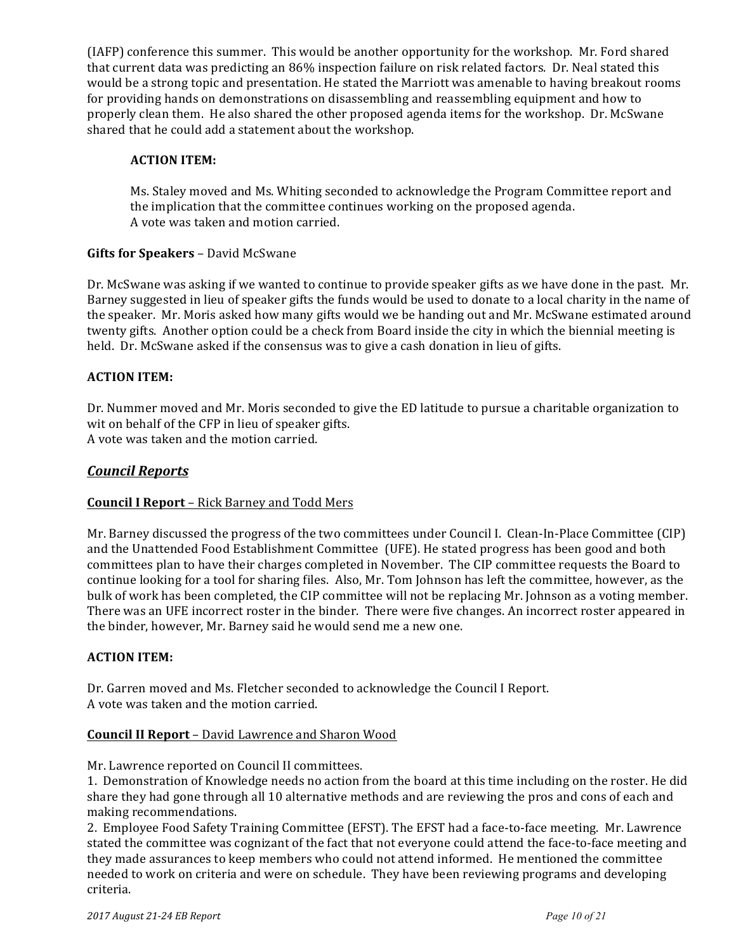(IAFP) conference this summer. This would be another opportunity for the workshop. Mr. Ford shared that current data was predicting an 86% inspection failure on risk related factors. Dr. Neal stated this would be a strong topic and presentation. He stated the Marriott was amenable to having breakout rooms for providing hands on demonstrations on disassembling and reassembling equipment and how to properly clean them. He also shared the other proposed agenda items for the workshop. Dr. McSwane shared that he could add a statement about the workshop.

## **ACTION ITEM:**

Ms. Staley moved and Ms. Whiting seconded to acknowledge the Program Committee report and the implication that the committee continues working on the proposed agenda. A vote was taken and motion carried.

## **Gifts for Speakers** – David McSwane

Dr. McSwane was asking if we wanted to continue to provide speaker gifts as we have done in the past. Mr. Barney suggested in lieu of speaker gifts the funds would be used to donate to a local charity in the name of the speaker. Mr. Moris asked how many gifts would we be handing out and Mr. McSwane estimated around twenty gifts. Another option could be a check from Board inside the city in which the biennial meeting is held. Dr. McSwane asked if the consensus was to give a cash donation in lieu of gifts.

## **ACTION ITEM:**

Dr. Nummer moved and Mr. Moris seconded to give the ED latitude to pursue a charitable organization to wit on behalf of the CFP in lieu of speaker gifts. A vote was taken and the motion carried.

## *Council Reports*

#### **Council I Report** – Rick Barney and Todd Mers

Mr. Barney discussed the progress of the two committees under Council I. Clean-In-Place Committee (CIP) and the Unattended Food Establishment Committee (UFE). He stated progress has been good and both committees plan to have their charges completed in November. The CIP committee requests the Board to continue looking for a tool for sharing files. Also, Mr. Tom Johnson has left the committee, however, as the bulk of work has been completed, the CIP committee will not be replacing Mr. Johnson as a voting member. There was an UFE incorrect roster in the binder. There were five changes. An incorrect roster appeared in the binder, however, Mr. Barney said he would send me a new one.

#### **ACTION ITEM:**

Dr. Garren moved and Ms. Fletcher seconded to acknowledge the Council I Report. A vote was taken and the motion carried.

#### **Council II Report** – David Lawrence and Sharon Wood

Mr. Lawrence reported on Council II committees.

1. Demonstration of Knowledge needs no action from the board at this time including on the roster. He did share they had gone through all 10 alternative methods and are reviewing the pros and cons of each and making recommendations.

2. Employee Food Safety Training Committee (EFST). The EFST had a face-to-face meeting. Mr. Lawrence stated the committee was cognizant of the fact that not everyone could attend the face-to-face meeting and they made assurances to keep members who could not attend informed. He mentioned the committee needed to work on criteria and were on schedule. They have been reviewing programs and developing criteria.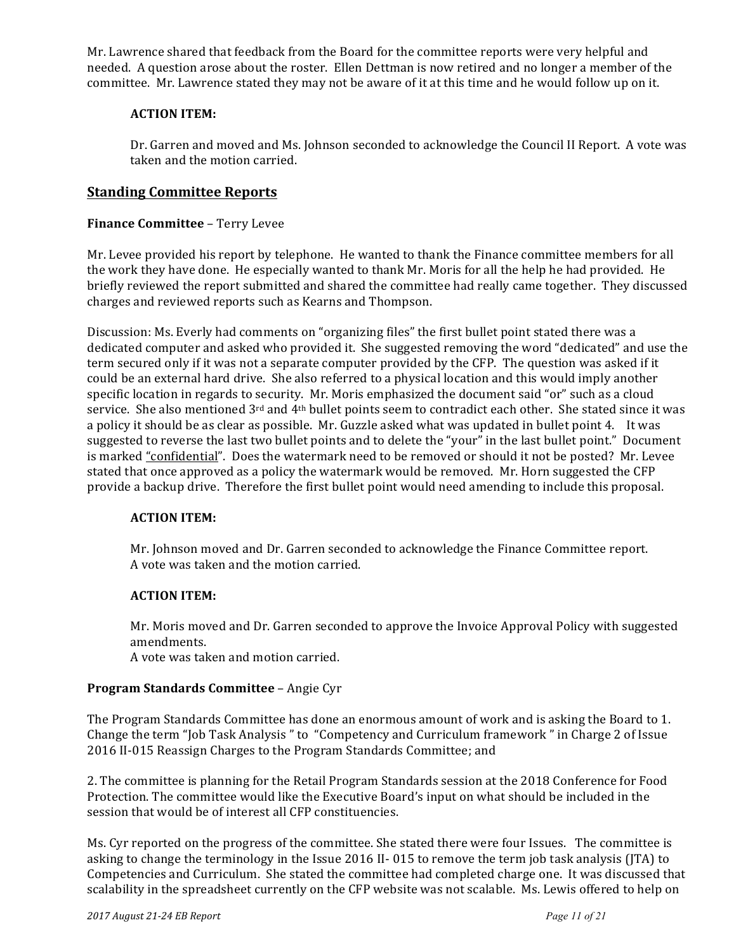Mr. Lawrence shared that feedback from the Board for the committee reports were very helpful and needed. A question arose about the roster. Ellen Dettman is now retired and no longer a member of the committee. Mr. Lawrence stated they may not be aware of it at this time and he would follow up on it.

## **ACTION ITEM:**

Dr. Garren and moved and Ms. Johnson seconded to acknowledge the Council II Report. A vote was taken and the motion carried.

## **Standing Committee Reports**

## **Finance Committee - Terry Levee**

Mr. Levee provided his report by telephone. He wanted to thank the Finance committee members for all the work they have done. He especially wanted to thank Mr. Moris for all the help he had provided. He briefly reviewed the report submitted and shared the committee had really came together. They discussed charges and reviewed reports such as Kearns and Thompson.

Discussion: Ms. Everly had comments on "organizing files" the first bullet point stated there was a dedicated computer and asked who provided it. She suggested removing the word "dedicated" and use the term secured only if it was not a separate computer provided by the CFP. The question was asked if it could be an external hard drive. She also referred to a physical location and this would imply another specific location in regards to security. Mr. Moris emphasized the document said "or" such as a cloud service. She also mentioned 3<sup>rd</sup> and 4<sup>th</sup> bullet points seem to contradict each other. She stated since it was a policy it should be as clear as possible. Mr. Guzzle asked what was updated in bullet point 4. It was suggested to reverse the last two bullet points and to delete the "your" in the last bullet point." Document is marked "confidential". Does the watermark need to be removed or should it not be posted? Mr. Levee stated that once approved as a policy the watermark would be removed. Mr. Horn suggested the CFP provide a backup drive. Therefore the first bullet point would need amending to include this proposal.

#### **ACTION ITEM:**

Mr. Johnson moved and Dr. Garren seconded to acknowledge the Finance Committee report. A vote was taken and the motion carried.

#### **ACTION ITEM:**

Mr. Moris moved and Dr. Garren seconded to approve the Invoice Approval Policy with suggested amendments. 

A vote was taken and motion carried.

#### **Program Standards Committee** – Angie Cyr

The Program Standards Committee has done an enormous amount of work and is asking the Board to 1. Change the term "Job Task Analysis" to "Competency and Curriculum framework" in Charge 2 of Issue 2016 II-015 Reassign Charges to the Program Standards Committee; and

2. The committee is planning for the Retail Program Standards session at the 2018 Conference for Food Protection. The committee would like the Executive Board's input on what should be included in the session that would be of interest all CFP constituencies.

Ms. Cyr reported on the progress of the committee. She stated there were four Issues. The committee is asking to change the terminology in the Issue 2016 II- 015 to remove the term job task analysis (JTA) to Competencies and Curriculum. She stated the committee had completed charge one. It was discussed that scalability in the spreadsheet currently on the CFP website was not scalable. Ms. Lewis offered to help on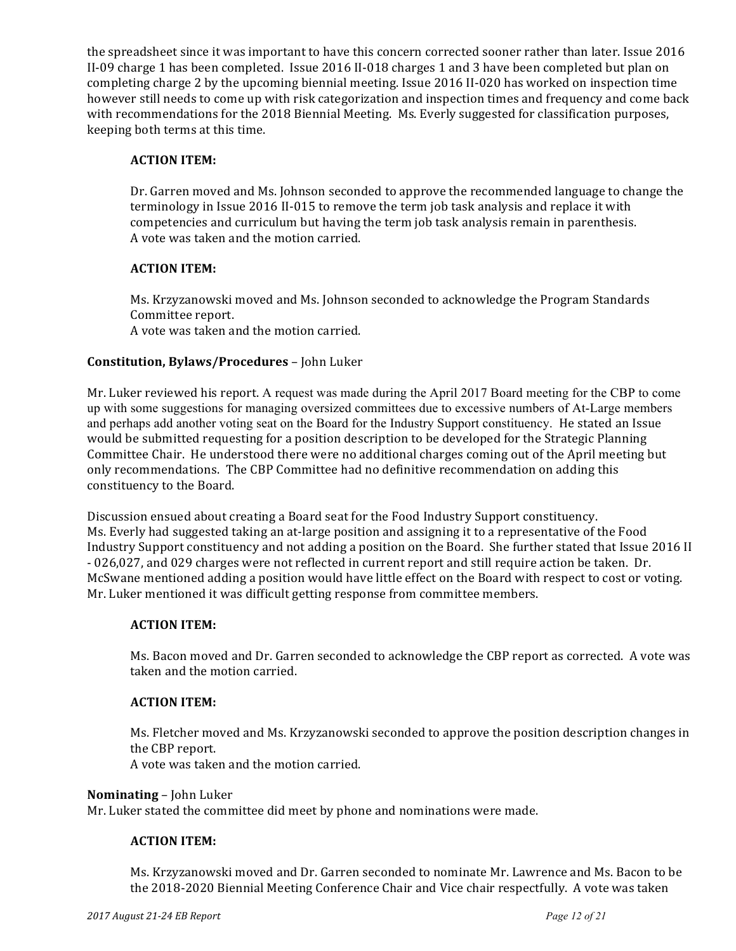the spreadsheet since it was important to have this concern corrected sooner rather than later. Issue 2016 II-09 charge 1 has been completed. Issue 2016 II-018 charges 1 and 3 have been completed but plan on completing charge 2 by the upcoming biennial meeting. Issue 2016 II-020 has worked on inspection time however still needs to come up with risk categorization and inspection times and frequency and come back with recommendations for the 2018 Biennial Meeting. Ms. Everly suggested for classification purposes, keeping both terms at this time.

## **ACTION ITEM:**

Dr. Garren moved and Ms. Johnson seconded to approve the recommended language to change the terminology in Issue 2016 II-015 to remove the term job task analysis and replace it with competencies and curriculum but having the term job task analysis remain in parenthesis. A vote was taken and the motion carried.

## **ACTION ITEM:**

Ms. Krzyzanowski moved and Ms. Johnson seconded to acknowledge the Program Standards Committee report. A vote was taken and the motion carried.

## **Constitution, Bylaws/Procedures** – John Luker

Mr. Luker reviewed his report. A request was made during the April 2017 Board meeting for the CBP to come up with some suggestions for managing oversized committees due to excessive numbers of At-Large members and perhaps add another voting seat on the Board for the Industry Support constituency. He stated an Issue would be submitted requesting for a position description to be developed for the Strategic Planning Committee Chair. He understood there were no additional charges coming out of the April meeting but only recommendations. The CBP Committee had no definitive recommendation on adding this constituency to the Board.

Discussion ensued about creating a Board seat for the Food Industry Support constituency. Ms. Everly had suggested taking an at-large position and assigning it to a representative of the Food Industry Support constituency and not adding a position on the Board. She further stated that Issue 2016 II - 026,027, and 029 charges were not reflected in current report and still require action be taken. Dr. McSwane mentioned adding a position would have little effect on the Board with respect to cost or voting. Mr. Luker mentioned it was difficult getting response from committee members.

#### **ACTION ITEM:**

Ms. Bacon moved and Dr. Garren seconded to acknowledge the CBP report as corrected. A vote was taken and the motion carried.

### **ACTION ITEM:**

Ms. Fletcher moved and Ms. Krzyzanowski seconded to approve the position description changes in the CBP report.

A vote was taken and the motion carried.

#### **Nominating** – John Luker

Mr. Luker stated the committee did meet by phone and nominations were made.

### **ACTION ITEM:**

Ms. Krzyzanowski moved and Dr. Garren seconded to nominate Mr. Lawrence and Ms. Bacon to be the 2018-2020 Biennial Meeting Conference Chair and Vice chair respectfully. A vote was taken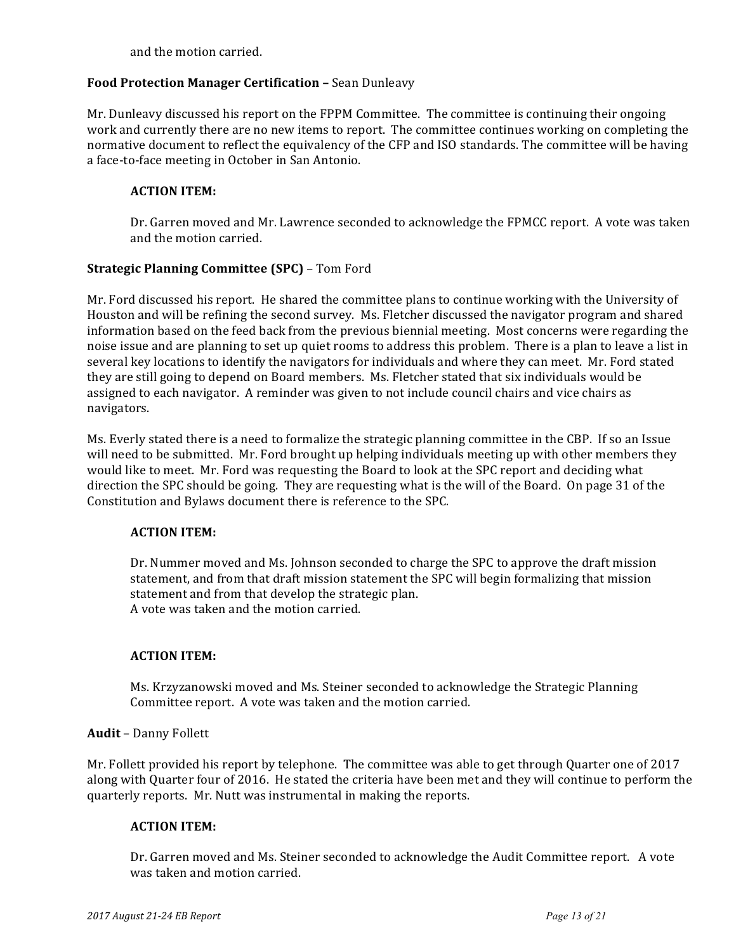and the motion carried.

## **Food Protection Manager Certification - Sean Dunleavy**

Mr. Dunleavy discussed his report on the FPPM Committee. The committee is continuing their ongoing work and currently there are no new items to report. The committee continues working on completing the normative document to reflect the equivalency of the CFP and ISO standards. The committee will be having a face-to-face meeting in October in San Antonio.

## **ACTION ITEM:**

Dr. Garren moved and Mr. Lawrence seconded to acknowledge the FPMCC report. A vote was taken and the motion carried.

## **Strategic Planning Committee (SPC)** – Tom Ford

Mr. Ford discussed his report. He shared the committee plans to continue working with the University of Houston and will be refining the second survey. Ms. Fletcher discussed the navigator program and shared information based on the feed back from the previous biennial meeting. Most concerns were regarding the noise issue and are planning to set up quiet rooms to address this problem. There is a plan to leave a list in several key locations to identify the navigators for individuals and where they can meet. Mr. Ford stated they are still going to depend on Board members. Ms. Fletcher stated that six individuals would be assigned to each navigator. A reminder was given to not include council chairs and vice chairs as navigators. 

Ms. Everly stated there is a need to formalize the strategic planning committee in the CBP. If so an Issue will need to be submitted. Mr. Ford brought up helping individuals meeting up with other members they would like to meet. Mr. Ford was requesting the Board to look at the SPC report and deciding what direction the SPC should be going. They are requesting what is the will of the Board. On page 31 of the Constitution and Bylaws document there is reference to the SPC.

#### **ACTION ITEM:**

Dr. Nummer moved and Ms. Johnson seconded to charge the SPC to approve the draft mission statement, and from that draft mission statement the SPC will begin formalizing that mission statement and from that develop the strategic plan. A vote was taken and the motion carried.

#### **ACTION ITEM:**

Ms. Krzyzanowski moved and Ms. Steiner seconded to acknowledge the Strategic Planning Committee report. A vote was taken and the motion carried.

#### Audit - Danny Follett

Mr. Follett provided his report by telephone. The committee was able to get through Quarter one of 2017 along with Quarter four of 2016. He stated the criteria have been met and they will continue to perform the quarterly reports. Mr. Nutt was instrumental in making the reports.

#### **ACTION ITEM:**

Dr. Garren moved and Ms. Steiner seconded to acknowledge the Audit Committee report. A vote was taken and motion carried.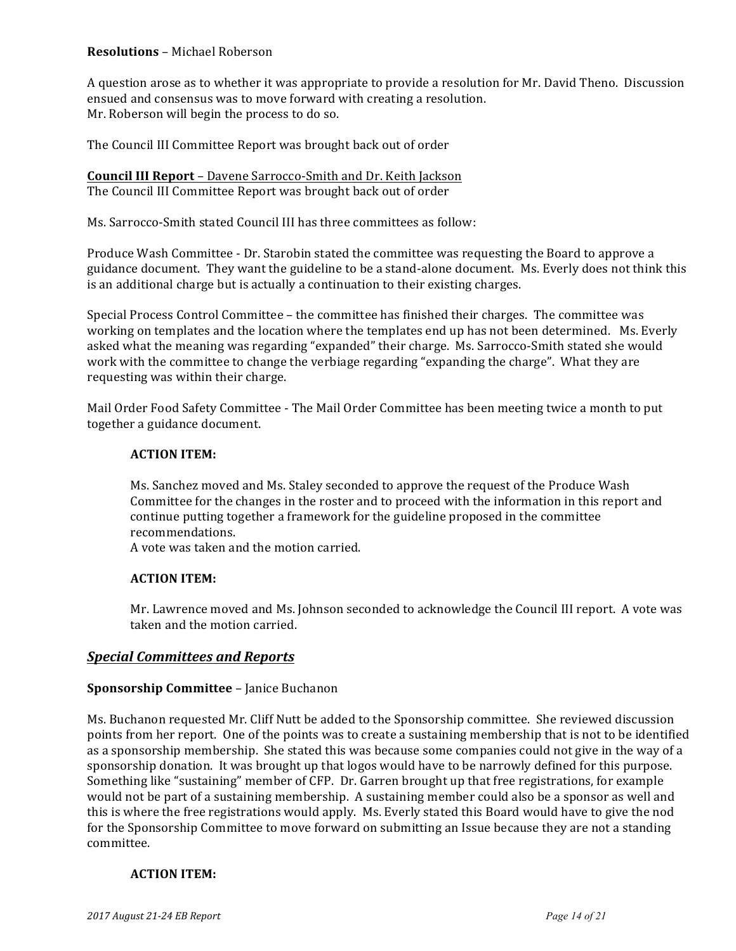## **Resolutions** – Michael Roberson

A question arose as to whether it was appropriate to provide a resolution for Mr. David Theno. Discussion ensued and consensus was to move forward with creating a resolution. Mr. Roberson will begin the process to do so.

The Council III Committee Report was brought back out of order

**Council III Report** - Davene Sarrocco-Smith and Dr. Keith Jackson The Council III Committee Report was brought back out of order

Ms. Sarrocco-Smith stated Council III has three committees as follow:

Produce Wash Committee - Dr. Starobin stated the committee was requesting the Board to approve a guidance document. They want the guideline to be a stand-alone document. Ms. Everly does not think this is an additional charge but is actually a continuation to their existing charges.

Special Process Control Committee – the committee has finished their charges. The committee was working on templates and the location where the templates end up has not been determined. Ms. Everly asked what the meaning was regarding "expanded" their charge. Ms. Sarrocco-Smith stated she would work with the committee to change the verbiage regarding "expanding the charge". What they are requesting was within their charge.

Mail Order Food Safety Committee - The Mail Order Committee has been meeting twice a month to put together a guidance document.

#### **ACTION ITEM:**

Ms. Sanchez moved and Ms. Staley seconded to approve the request of the Produce Wash Committee for the changes in the roster and to proceed with the information in this report and continue putting together a framework for the guideline proposed in the committee recommendations.

A vote was taken and the motion carried.

#### **ACTION ITEM:**

Mr. Lawrence moved and Ms. Johnson seconded to acknowledge the Council III report. A vote was taken and the motion carried.

#### **Special Committees and Reports**

#### **Sponsorship Committee – Janice Buchanon**

Ms. Buchanon requested Mr. Cliff Nutt be added to the Sponsorship committee. She reviewed discussion points from her report. One of the points was to create a sustaining membership that is not to be identified as a sponsorship membership. She stated this was because some companies could not give in the way of a sponsorship donation. It was brought up that logos would have to be narrowly defined for this purpose. Something like "sustaining" member of CFP. Dr. Garren brought up that free registrations, for example would not be part of a sustaining membership. A sustaining member could also be a sponsor as well and this is where the free registrations would apply. Ms. Everly stated this Board would have to give the nod for the Sponsorship Committee to move forward on submitting an Issue because they are not a standing committee.

#### **ACTION ITEM:**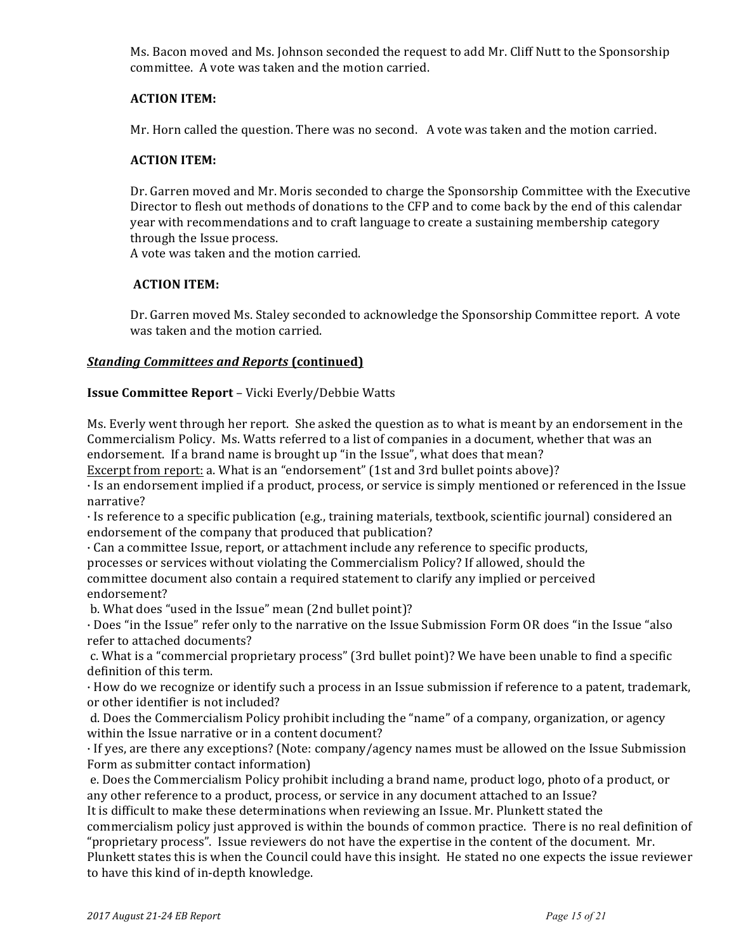Ms. Bacon moved and Ms. Johnson seconded the request to add Mr. Cliff Nutt to the Sponsorship committee. A vote was taken and the motion carried.

### **ACTION ITEM:**

Mr. Horn called the question. There was no second. A vote was taken and the motion carried.

### **ACTION ITEM:**

Dr. Garren moved and Mr. Moris seconded to charge the Sponsorship Committee with the Executive Director to flesh out methods of donations to the CFP and to come back by the end of this calendar year with recommendations and to craft language to create a sustaining membership category through the Issue process.

A vote was taken and the motion carried.

## **ACTION ITEM:**

Dr. Garren moved Ms. Staley seconded to acknowledge the Sponsorship Committee report. A vote was taken and the motion carried.

## *Standing Committees and Reports* **(continued)**

#### **Issue Committee Report** – Vicki Everly/Debbie Watts

Ms. Everly went through her report. She asked the question as to what is meant by an endorsement in the Commercialism Policy. Ms. Watts referred to a list of companies in a document, whether that was an endorsement. If a brand name is brought up "in the Issue", what does that mean?

Excerpt from report: a. What is an "endorsement" (1st and 3rd bullet points above)?

· Is an endorsement implied if a product, process, or service is simply mentioned or referenced in the Issue narrative?

 $\cdot$  Is reference to a specific publication (e.g., training materials, textbook, scientific journal) considered an endorsement of the company that produced that publication?

 $\cdot$  Can a committee Issue, report, or attachment include any reference to specific products,

processes or services without violating the Commercialism Policy? If allowed, should the committee document also contain a required statement to clarify any implied or perceived endorsement?

b. What does "used in the Issue" mean (2nd bullet point)?

· Does "in the Issue" refer only to the narrative on the Issue Submission Form OR does "in the Issue "also refer to attached documents?

c. What is a "commercial proprietary process" (3rd bullet point)? We have been unable to find a specific definition of this term.

· How do we recognize or identify such a process in an Issue submission if reference to a patent, trademark, or other identifier is not included?

d. Does the Commercialism Policy prohibit including the "name" of a company, organization, or agency within the Issue narrative or in a content document?

 $\cdot$  If yes, are there any exceptions? (Note: company/agency names must be allowed on the Issue Submission Form as submitter contact information)

e. Does the Commercialism Policy prohibit including a brand name, product logo, photo of a product, or any other reference to a product, process, or service in any document attached to an Issue?

It is difficult to make these determinations when reviewing an Issue. Mr. Plunkett stated the commercialism policy just approved is within the bounds of common practice. There is no real definition of "proprietary process". Issue reviewers do not have the expertise in the content of the document. Mr.

Plunkett states this is when the Council could have this insight. He stated no one expects the issue reviewer to have this kind of in-depth knowledge.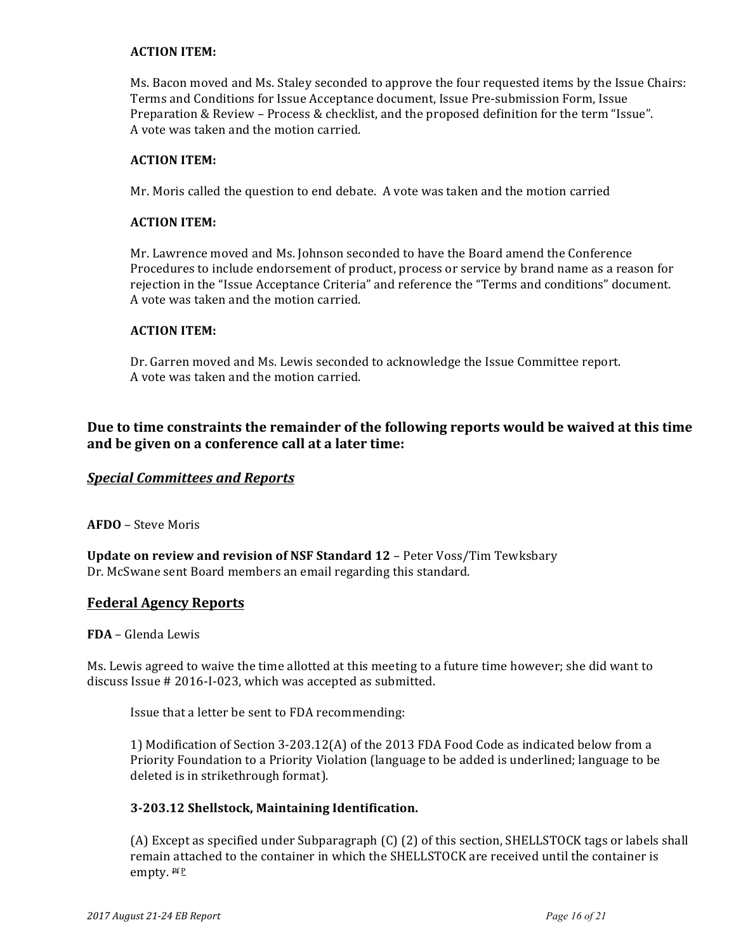## **ACTION ITEM:**

Ms. Bacon moved and Ms. Staley seconded to approve the four requested items by the Issue Chairs: Terms and Conditions for Issue Acceptance document, Issue Pre-submission Form, Issue Preparation & Review - Process & checklist, and the proposed definition for the term "Issue". A vote was taken and the motion carried.

#### **ACTION ITEM:**

Mr. Moris called the question to end debate. A vote was taken and the motion carried

#### **ACTION ITEM:**

Mr. Lawrence moved and Ms. Johnson seconded to have the Board amend the Conference Procedures to include endorsement of product, process or service by brand name as a reason for rejection in the "Issue Acceptance Criteria" and reference the "Terms and conditions" document. A vote was taken and the motion carried.

## **ACTION ITEM:**

Dr. Garren moved and Ms. Lewis seconded to acknowledge the Issue Committee report. A vote was taken and the motion carried.

# Due to time constraints the remainder of the following reports would be waived at this time **and be given on a conference call at a later time:**

## **Special Committees and Reports**

AFDO – Steve Moris

**Update on review and revision of NSF Standard 12 - Peter Voss/Tim Tewksbary** Dr. McSwane sent Board members an email regarding this standard.

## **Federal Agency Reports**

**FDA** – Glenda Lewis

Ms. Lewis agreed to waive the time allotted at this meeting to a future time however; she did want to discuss Issue # 2016-I-023, which was accepted as submitted.

Issue that a letter be sent to FDA recommending:

1) Modification of Section 3-203.12(A) of the 2013 FDA Food Code as indicated below from a Priority Foundation to a Priority Violation (language to be added is underlined; language to be deleted is in strikethrough format).

#### **3-203.12 Shellstock, Maintaining Identification.**

(A) Except as specified under Subparagraph (C) (2) of this section, SHELLSTOCK tags or labels shall remain attached to the container in which the SHELLSTOCK are received until the container is empty.  $Pf P$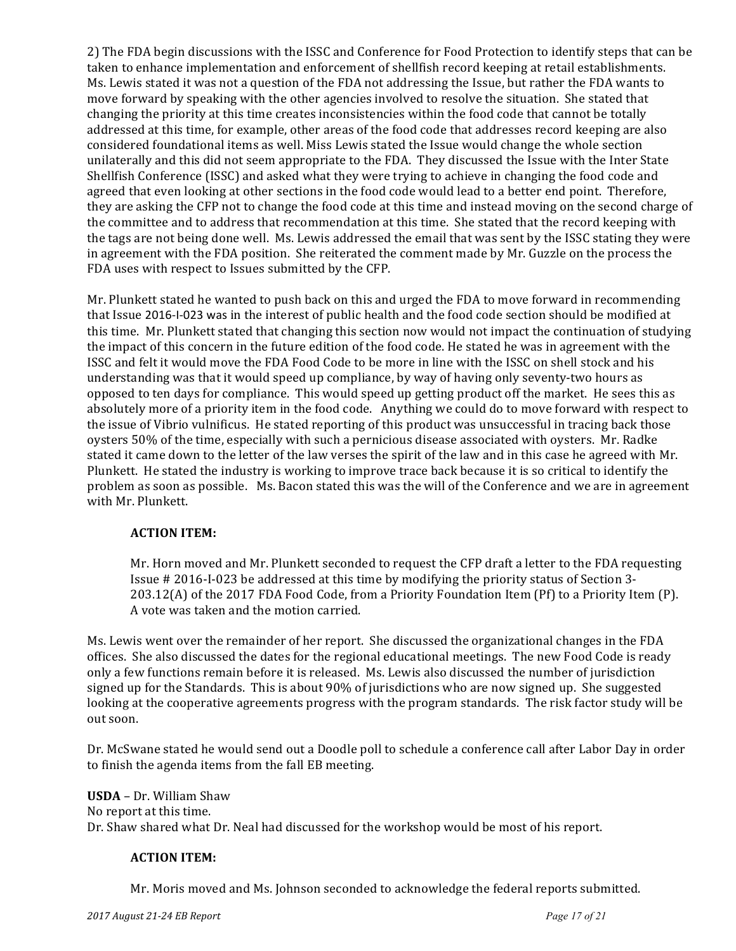2) The FDA begin discussions with the ISSC and Conference for Food Protection to identify steps that can be taken to enhance implementation and enforcement of shellfish record keeping at retail establishments. Ms. Lewis stated it was not a question of the FDA not addressing the Issue, but rather the FDA wants to move forward by speaking with the other agencies involved to resolve the situation. She stated that changing the priority at this time creates inconsistencies within the food code that cannot be totally addressed at this time, for example, other areas of the food code that addresses record keeping are also considered foundational items as well. Miss Lewis stated the Issue would change the whole section unilaterally and this did not seem appropriate to the FDA. They discussed the Issue with the Inter State Shellfish Conference (ISSC) and asked what they were trying to achieve in changing the food code and agreed that even looking at other sections in the food code would lead to a better end point. Therefore, they are asking the CFP not to change the food code at this time and instead moving on the second charge of the committee and to address that recommendation at this time. She stated that the record keeping with the tags are not being done well. Ms. Lewis addressed the email that was sent by the ISSC stating they were in agreement with the FDA position. She reiterated the comment made by Mr. Guzzle on the process the FDA uses with respect to Issues submitted by the CFP.

Mr. Plunkett stated he wanted to push back on this and urged the FDA to move forward in recommending that Issue 2016-I-023 was in the interest of public health and the food code section should be modified at this time. Mr. Plunkett stated that changing this section now would not impact the continuation of studying the impact of this concern in the future edition of the food code. He stated he was in agreement with the ISSC and felt it would move the FDA Food Code to be more in line with the ISSC on shell stock and his understanding was that it would speed up compliance, by way of having only seventy-two hours as opposed to ten days for compliance. This would speed up getting product off the market. He sees this as absolutely more of a priority item in the food code. Anything we could do to move forward with respect to the issue of Vibrio vulnificus. He stated reporting of this product was unsuccessful in tracing back those oysters 50% of the time, especially with such a pernicious disease associated with oysters. Mr. Radke stated it came down to the letter of the law verses the spirit of the law and in this case he agreed with Mr. Plunkett. He stated the industry is working to improve trace back because it is so critical to identify the problem as soon as possible. Ms. Bacon stated this was the will of the Conference and we are in agreement with Mr. Plunkett.

## **ACTION ITEM:**

Mr. Horn moved and Mr. Plunkett seconded to request the CFP draft a letter to the FDA requesting Issue  $\#$  2016-I-023 be addressed at this time by modifying the priority status of Section 3-203.12(A) of the 2017 FDA Food Code, from a Priority Foundation Item (Pf) to a Priority Item (P). A vote was taken and the motion carried.

Ms. Lewis went over the remainder of her report. She discussed the organizational changes in the FDA offices. She also discussed the dates for the regional educational meetings. The new Food Code is ready only a few functions remain before it is released. Ms. Lewis also discussed the number of jurisdiction signed up for the Standards. This is about 90% of jurisdictions who are now signed up. She suggested looking at the cooperative agreements progress with the program standards. The risk factor study will be out soon.

Dr. McSwane stated he would send out a Doodle poll to schedule a conference call after Labor Day in order to finish the agenda items from the fall EB meeting.

**USDA** – Dr. William Shaw No report at this time. Dr. Shaw shared what Dr. Neal had discussed for the workshop would be most of his report.

## **ACTION ITEM:**

Mr. Moris moved and Ms. Johnson seconded to acknowledge the federal reports submitted.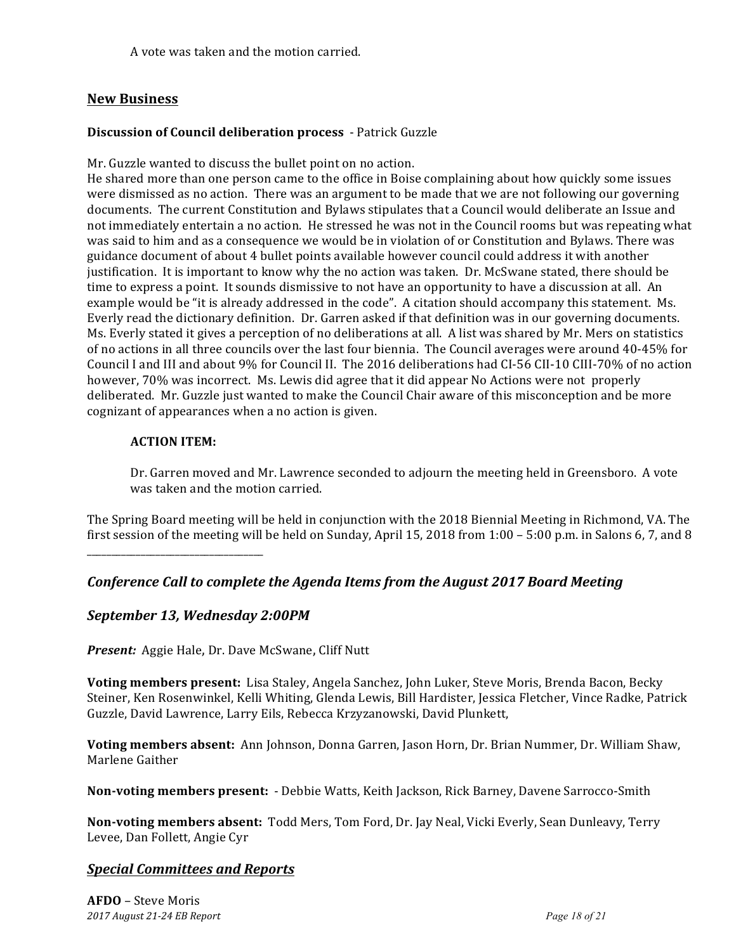A vote was taken and the motion carried.

## **New Business**

## **Discussion of Council deliberation process** - Patrick Guzzle

Mr. Guzzle wanted to discuss the bullet point on no action.

He shared more than one person came to the office in Boise complaining about how quickly some issues were dismissed as no action. There was an argument to be made that we are not following our governing documents. The current Constitution and Bylaws stipulates that a Council would deliberate an Issue and not immediately entertain a no action. He stressed he was not in the Council rooms but was repeating what was said to him and as a consequence we would be in violation of or Constitution and Bylaws. There was guidance document of about 4 bullet points available however council could address it with another justification. It is important to know why the no action was taken. Dr. McSwane stated, there should be time to express a point. It sounds dismissive to not have an opportunity to have a discussion at all. An example would be "it is already addressed in the code". A citation should accompany this statement. Ms. Everly read the dictionary definition. Dr. Garren asked if that definition was in our governing documents. Ms. Everly stated it gives a perception of no deliberations at all. A list was shared by Mr. Mers on statistics of no actions in all three councils over the last four biennia. The Council averages were around 40-45% for Council I and III and about 9% for Council II. The 2016 deliberations had CI-56 CII-10 CIII-70% of no action however, 70% was incorrect. Ms. Lewis did agree that it did appear No Actions were not properly deliberated. Mr. Guzzle just wanted to make the Council Chair aware of this misconception and be more cognizant of appearances when a no action is given.

#### **ACTION ITEM:**

Dr. Garren moved and Mr. Lawrence seconded to adjourn the meeting held in Greensboro. A vote was taken and the motion carried.

The Spring Board meeting will be held in conjunction with the 2018 Biennial Meeting in Richmond, VA. The first session of the meeting will be held on Sunday, April 15, 2018 from  $1:00 - 5:00$  p.m. in Salons 6, 7, and 8

\_\_\_\_\_\_\_\_\_\_\_\_\_\_\_\_\_\_\_\_\_\_\_\_\_\_\_\_\_\_\_\_\_\_\_\_

## *Conference Call to complete the Agenda Items from the August 2017 Board Meeting*

## *September 13, Wednesday 2:00PM*

**Present:** Aggie Hale, Dr. Dave McSwane, Cliff Nutt

**Voting members present:** Lisa Staley, Angela Sanchez, John Luker, Steve Moris, Brenda Bacon, Becky Steiner, Ken Rosenwinkel, Kelli Whiting, Glenda Lewis, Bill Hardister, Jessica Fletcher, Vince Radke, Patrick Guzzle, David Lawrence, Larry Eils, Rebecca Krzyzanowski, David Plunkett,

**Voting members absent:** Ann Johnson, Donna Garren, Jason Horn, Dr. Brian Nummer, Dr. William Shaw, Marlene Gaither

**Non-voting members present:** - Debbie Watts, Keith Jackson, Rick Barney, Davene Sarrocco-Smith

**Non-voting members absent:** Todd Mers, Tom Ford, Dr. Jay Neal, Vicki Everly, Sean Dunleavy, Terry Levee, Dan Follett, Angie Cyr

# *Special Committees and Reports*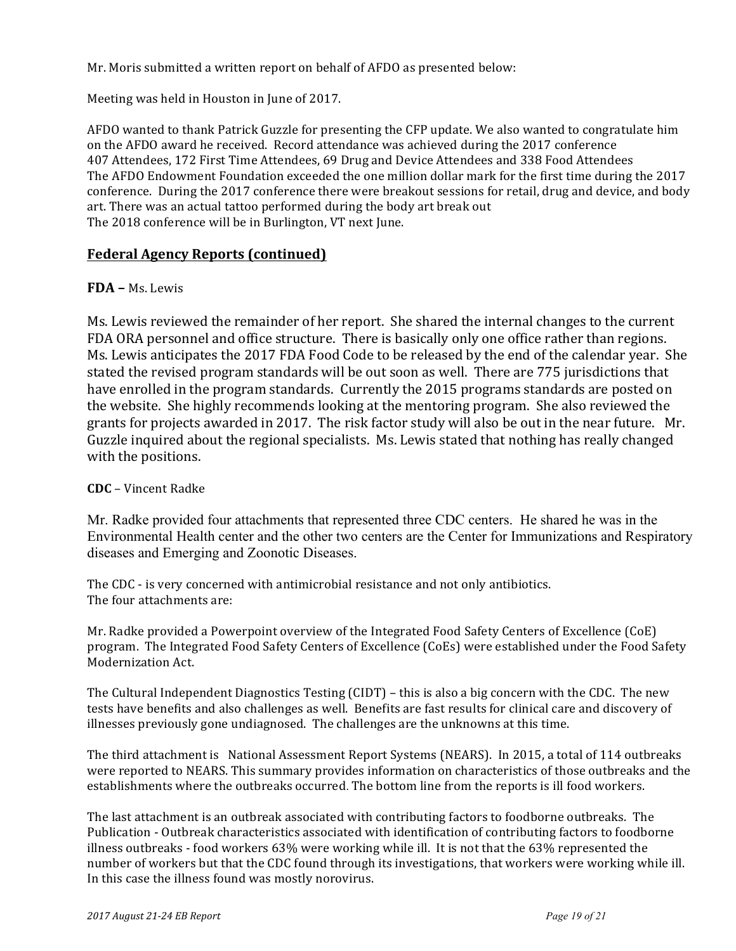Mr. Moris submitted a written report on behalf of AFDO as presented below:

Meeting was held in Houston in June of 2017.

AFDO wanted to thank Patrick Guzzle for presenting the CFP update. We also wanted to congratulate him on the AFDO award he received. Record attendance was achieved during the 2017 conference 407 Attendees, 172 First Time Attendees, 69 Drug and Device Attendees and 338 Food Attendees The AFDO Endowment Foundation exceeded the one million dollar mark for the first time during the 2017 conference. During the 2017 conference there were breakout sessions for retail, drug and device, and body art. There was an actual tattoo performed during the body art break out The 2018 conference will be in Burlington, VT next June.

## **Federal Agency Reports (continued)**

## **FDA –** Ms. Lewis

Ms. Lewis reviewed the remainder of her report. She shared the internal changes to the current FDA ORA personnel and office structure. There is basically only one office rather than regions. Ms. Lewis anticipates the 2017 FDA Food Code to be released by the end of the calendar year. She stated the revised program standards will be out soon as well. There are 775 jurisdictions that have enrolled in the program standards. Currently the 2015 programs standards are posted on the website. She highly recommends looking at the mentoring program. She also reviewed the grants for projects awarded in 2017. The risk factor study will also be out in the near future. Mr. Guzzle inquired about the regional specialists. Ms. Lewis stated that nothing has really changed with the positions.

## **CDC** – Vincent Radke

Mr. Radke provided four attachments that represented three CDC centers. He shared he was in the Environmental Health center and the other two centers are the Center for Immunizations and Respiratory diseases and Emerging and Zoonotic Diseases.

The CDC - is very concerned with antimicrobial resistance and not only antibiotics. The four attachments are:

Mr. Radke provided a Powerpoint overview of the Integrated Food Safety Centers of Excellence (CoE) program. The Integrated Food Safety Centers of Excellence (CoEs) were established under the Food Safety Modernization Act. 

The Cultural Independent Diagnostics Testing  $(CIDT)$  – this is also a big concern with the CDC. The new tests have benefits and also challenges as well. Benefits are fast results for clinical care and discovery of illnesses previously gone undiagnosed. The challenges are the unknowns at this time.

The third attachment is National Assessment Report Systems (NEARS). In 2015, a total of 114 outbreaks were reported to NEARS. This summary provides information on characteristics of those outbreaks and the establishments where the outbreaks occurred. The bottom line from the reports is ill food workers.

The last attachment is an outbreak associated with contributing factors to foodborne outbreaks. The Publication - Outbreak characteristics associated with identification of contributing factors to foodborne illness outbreaks - food workers 63% were working while ill. It is not that the 63% represented the number of workers but that the CDC found through its investigations, that workers were working while ill. In this case the illness found was mostly norovirus.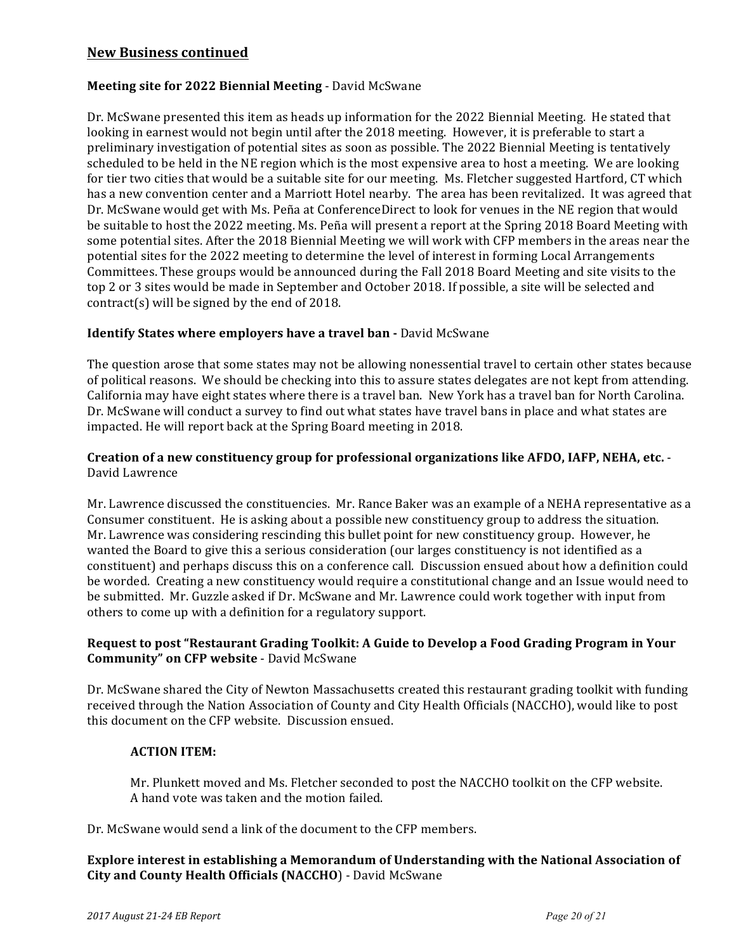## **New Business continued**

## **Meeting site for 2022 Biennial Meeting - David McSwane**

Dr. McSwane presented this item as heads up information for the 2022 Biennial Meeting. He stated that looking in earnest would not begin until after the 2018 meeting. However, it is preferable to start a preliminary investigation of potential sites as soon as possible. The 2022 Biennial Meeting is tentatively scheduled to be held in the NE region which is the most expensive area to host a meeting. We are looking for tier two cities that would be a suitable site for our meeting. Ms. Fletcher suggested Hartford, CT which has a new convention center and a Marriott Hotel nearby. The area has been revitalized. It was agreed that Dr. McSwane would get with Ms. Peña at ConferenceDirect to look for venues in the NE region that would be suitable to host the 2022 meeting. Ms. Peña will present a report at the Spring 2018 Board Meeting with some potential sites. After the 2018 Biennial Meeting we will work with CFP members in the areas near the potential sites for the 2022 meeting to determine the level of interest in forming Local Arrangements Committees. These groups would be announced during the Fall 2018 Board Meeting and site visits to the top 2 or 3 sites would be made in September and October 2018. If possible, a site will be selected and contract(s) will be signed by the end of 2018.

## **Identify States where employers have a travel ban - David McSwane**

The question arose that some states may not be allowing nonessential travel to certain other states because of political reasons. We should be checking into this to assure states delegates are not kept from attending. California may have eight states where there is a travel ban. New York has a travel ban for North Carolina. Dr. McSwane will conduct a survey to find out what states have travel bans in place and what states are impacted. He will report back at the Spring Board meeting in 2018.

## Creation of a new constituency group for professional organizations like AFDO, IAFP, NEHA, etc. -David Lawrence

Mr. Lawrence discussed the constituencies. Mr. Rance Baker was an example of a NEHA representative as a Consumer constituent. He is asking about a possible new constituency group to address the situation. Mr. Lawrence was considering rescinding this bullet point for new constituency group. However, he wanted the Board to give this a serious consideration (our larges constituency is not identified as a constituent) and perhaps discuss this on a conference call. Discussion ensued about how a definition could be worded. Creating a new constituency would require a constitutional change and an Issue would need to be submitted. Mr. Guzzle asked if Dr. McSwane and Mr. Lawrence could work together with input from others to come up with a definition for a regulatory support.

## Request to post "Restaurant Grading Toolkit: A Guide to Develop a Food Grading Program in Your **Community"** on CFP website - David McSwane

Dr. McSwane shared the City of Newton Massachusetts created this restaurant grading toolkit with funding received through the Nation Association of County and City Health Officials (NACCHO), would like to post this document on the CFP website. Discussion ensued.

#### **ACTION ITEM:**

Mr. Plunkett moved and Ms. Fletcher seconded to post the NACCHO toolkit on the CFP website. A hand vote was taken and the motion failed.

Dr. McSwane would send a link of the document to the CFP members.

#### **Explore interest in establishing a Memorandum of Understanding with the National Association of City and County Health Officials (NACCHO)** - David McSwane